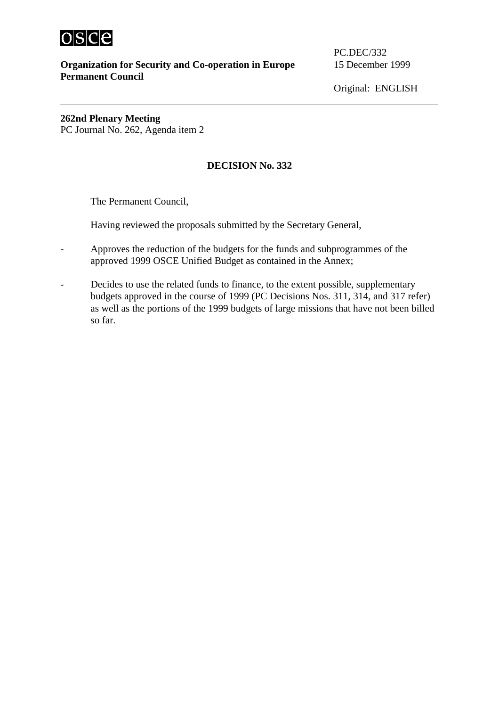

**Organization for Security and Co-operation in Europe** 15 December 1999 **Permanent Council** 

PC.DEC/332

Original: ENGLISH

**262nd Plenary Meeting**  PC Journal No. 262, Agenda item 2

## **DECISION No. 332**

The Permanent Council,

Having reviewed the proposals submitted by the Secretary General,

- Approves the reduction of the budgets for the funds and subprogrammes of the approved 1999 OSCE Unified Budget as contained in the Annex;
- Decides to use the related funds to finance, to the extent possible, supplementary budgets approved in the course of 1999 (PC Decisions Nos. 311, 314, and 317 refer) as well as the portions of the 1999 budgets of large missions that have not been billed so far.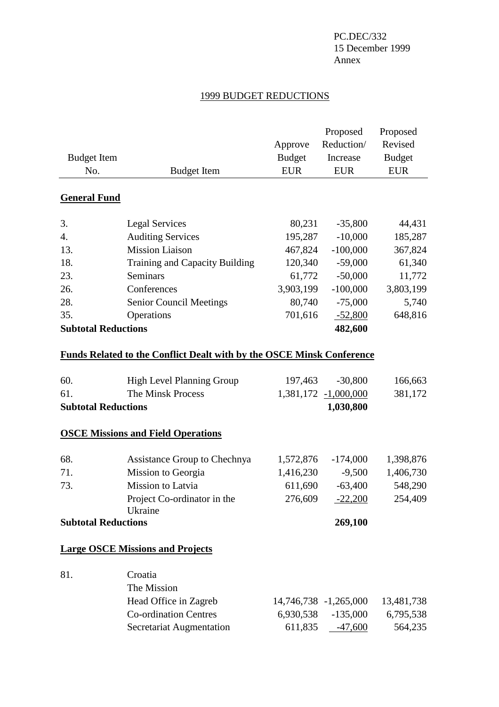### PC.DEC/332 15 December 1999 Annex

#### 1999 BUDGET REDUCTIONS

| <b>Budget Item</b>         |                                                                              | Approve<br><b>Budget</b> | Proposed<br>Reduction/<br>Increase | Proposed<br>Revised<br><b>Budget</b> |
|----------------------------|------------------------------------------------------------------------------|--------------------------|------------------------------------|--------------------------------------|
| No.                        | <b>Budget Item</b>                                                           | <b>EUR</b>               | <b>EUR</b>                         | <b>EUR</b>                           |
| <b>General Fund</b>        |                                                                              |                          |                                    |                                      |
| 3.                         | <b>Legal Services</b>                                                        | 80,231                   | $-35,800$                          | 44,431                               |
| 4.                         | <b>Auditing Services</b>                                                     | 195,287                  | $-10,000$                          | 185,287                              |
| 13.                        | <b>Mission Liaison</b>                                                       | 467,824                  | $-100,000$                         | 367,824                              |
| 18.                        | Training and Capacity Building                                               | 120,340                  | $-59,000$                          | 61,340                               |
| 23.                        | Seminars                                                                     | 61,772                   | $-50,000$                          | 11,772                               |
| 26.                        | Conferences                                                                  | 3,903,199                | $-100,000$                         | 3,803,199                            |
| 28.                        | <b>Senior Council Meetings</b>                                               | 80,740                   | $-75,000$                          | 5,740                                |
| 35.                        | Operations                                                                   | 701,616                  | $-52,800$                          | 648,816                              |
| <b>Subtotal Reductions</b> |                                                                              |                          | 482,600                            |                                      |
|                            | <b>Funds Related to the Conflict Dealt with by the OSCE Minsk Conference</b> |                          |                                    |                                      |
| 60.                        | <b>High Level Planning Group</b>                                             | 197,463                  | $-30,800$                          | 166,663                              |
| 61.                        | The Minsk Process                                                            |                          | 1,381,172 -1,000,000               | 381,172                              |
| <b>Subtotal Reductions</b> |                                                                              |                          | 1,030,800                          |                                      |
|                            | <b>OSCE Missions and Field Operations</b>                                    |                          |                                    |                                      |
| 68.                        | Assistance Group to Chechnya                                                 | 1,572,876                | $-174,000$                         | 1,398,876                            |
| 71.                        | Mission to Georgia                                                           | 1,416,230                | $-9,500$                           | 1,406,730                            |
| 73.                        | Mission to Latvia                                                            | 611,690                  | $-63,400$                          | 548,290                              |
|                            | Project Co-ordinator in the                                                  | 276,609                  | $-22,200$                          | 254,409                              |
|                            | Ukraine                                                                      |                          |                                    |                                      |
| <b>Subtotal Reductions</b> |                                                                              |                          | 269,100                            |                                      |
|                            | <b>Large OSCE Missions and Projects</b>                                      |                          |                                    |                                      |
| 81.                        | Croatia                                                                      |                          |                                    |                                      |
|                            | The Mission                                                                  |                          |                                    |                                      |
|                            | Head Office in Zagreb                                                        |                          | 14,746,738 -1,265,000              | 13,481,738                           |
|                            | <b>Co-ordination Centres</b>                                                 | 6,930,538                | $-135,000$                         | 6,795,538                            |
|                            | Secretariat Augmentation                                                     | 611,835                  | $-47,600$                          | 564,235                              |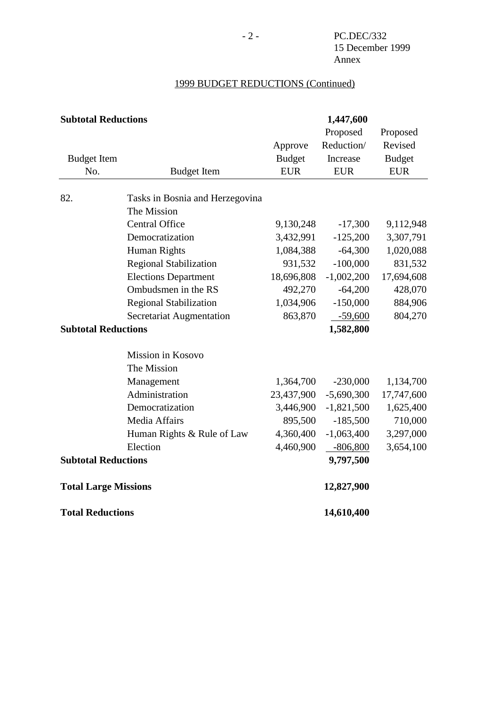# 1999 BUDGET REDUCTIONS (Continued)

| <b>Subtotal Reductions</b>  |                                 | 1,447,600     |              |               |
|-----------------------------|---------------------------------|---------------|--------------|---------------|
|                             |                                 |               | Proposed     | Proposed      |
|                             |                                 | Approve       | Reduction/   | Revised       |
| <b>Budget Item</b>          |                                 | <b>Budget</b> | Increase     | <b>Budget</b> |
| No.                         | <b>Budget Item</b>              | <b>EUR</b>    | <b>EUR</b>   | <b>EUR</b>    |
| 82.                         | Tasks in Bosnia and Herzegovina |               |              |               |
|                             | The Mission                     |               |              |               |
|                             | <b>Central Office</b>           | 9,130,248     | $-17,300$    | 9,112,948     |
|                             | Democratization                 | 3,432,991     | $-125,200$   | 3,307,791     |
|                             | Human Rights                    | 1,084,388     | $-64,300$    | 1,020,088     |
|                             | <b>Regional Stabilization</b>   | 931,532       | $-100,000$   | 831,532       |
|                             | <b>Elections Department</b>     | 18,696,808    | $-1,002,200$ | 17,694,608    |
|                             | Ombudsmen in the RS             | 492,270       | $-64,200$    | 428,070       |
|                             | <b>Regional Stabilization</b>   | 1,034,906     | $-150,000$   | 884,906       |
|                             | Secretariat Augmentation        | 863,870       | $-59,600$    | 804,270       |
| <b>Subtotal Reductions</b>  |                                 |               | 1,582,800    |               |
|                             | Mission in Kosovo               |               |              |               |
|                             | The Mission                     |               |              |               |
|                             | Management                      | 1,364,700     | $-230,000$   | 1,134,700     |
|                             | Administration                  | 23,437,900    | $-5,690,300$ | 17,747,600    |
|                             | Democratization                 | 3,446,900     | $-1,821,500$ | 1,625,400     |
|                             | Media Affairs                   | 895,500       | $-185,500$   | 710,000       |
|                             | Human Rights & Rule of Law      | 4,360,400     | $-1,063,400$ | 3,297,000     |
|                             | Election                        | 4,460,900     | $-806,800$   | 3,654,100     |
| <b>Subtotal Reductions</b>  |                                 |               | 9,797,500    |               |
| <b>Total Large Missions</b> |                                 |               | 12,827,900   |               |
| <b>Total Reductions</b>     |                                 |               | 14,610,400   |               |